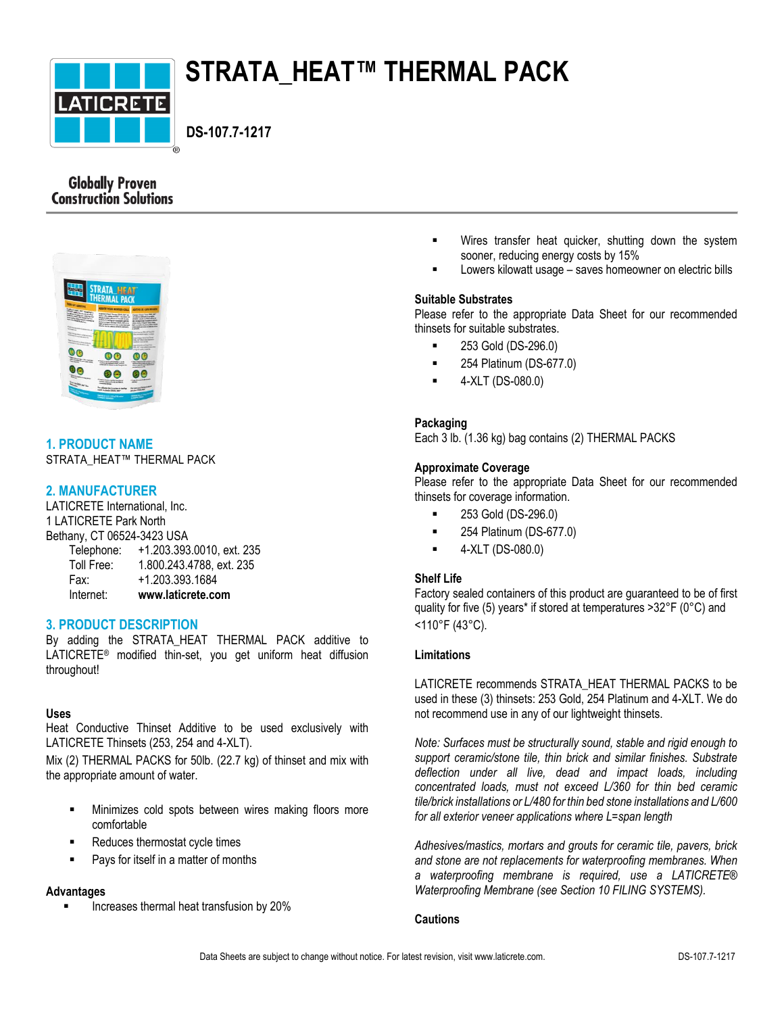

# **STRATA\_HEAT™ THERMAL PACK**

 **DS-107.7-1217**

# **Globally Proven Construction Solutions**



# **1. PRODUCT NAME**

STRATA\_HEAT™ THERMAL PACK

# **2. MANUFACTURER**

LATICRETE International, Inc. 1 LATICRETE Park North Bethany, CT 06524-3423 USA Telephone: +1.203.393.0010, ext. 235 Toll Free: 1.800.243.4788, ext. 235 Fax: +1.203.393.1684

| .         | .                 |
|-----------|-------------------|
| Internet: | www.laticrete.com |

# **3. PRODUCT DESCRIPTION**

By adding the STRATA\_HEAT\_THERMAL\_PACK additive to LATICRETE® modified thin-set, you get uniform heat diffusion throughout!

# **Uses**

Heat Conductive Thinset Additive to be used exclusively with LATICRETE Thinsets (253, 254 and 4-XLT).

Mix (2) THERMAL PACKS for 50lb. (22.7 kg) of thinset and mix with the appropriate amount of water.

- Minimizes cold spots between wires making floors more comfortable
- Reduces thermostat cycle times
- Pays for itself in a matter of months

#### **Advantages**

Increases thermal heat transfusion by 20%

- Wires transfer heat quicker, shutting down the system sooner, reducing energy costs by 15%
- Lowers kilowatt usage saves homeowner on electric bills

# **Suitable Substrates**

Please refer to the appropriate Data Sheet for our recommended thinsets for suitable substrates.

- 253 Gold (DS-296.0)
- **254 Platinum (DS-677.0)**
- 4-XLT (DS-080.0)

# **Packaging**

Each 3 lb. (1.36 kg) bag contains (2) THERMAL PACKS

# **Approximate Coverage**

Please refer to the appropriate Data Sheet for our recommended thinsets for coverage information.

- 253 Gold (DS-296.0)
- **254 Platinum (DS-677.0)**
- $-4-XLT (DS-080.0)$

# **Shelf Life**

Factory sealed containers of this product are guaranteed to be of first quality for five (5) years\* if stored at temperatures >32°F (0°C) and <110°F (43°C).

#### **Limitations**

LATICRETE recommends STRATA\_HEAT THERMAL PACKS to be used in these (3) thinsets: 253 Gold, 254 Platinum and 4-XLT. We do not recommend use in any of our lightweight thinsets.

*Note: Surfaces must be structurally sound, stable and rigid enough to support ceramic/stone tile, thin brick and similar finishes. Substrate deflection under all live, dead and impact loads, including concentrated loads, must not exceed L/360 for thin bed ceramic tile/brick installations or L/480 for thin bed stone installations and L/600 for all exterior veneer applications where L=span length*

*Adhesives/mastics, mortars and grouts for ceramic tile, pavers, brick and stone are not replacements for waterproofing membranes. When a waterproofing membrane is required, use a LATICRETE® Waterproofing Membrane (see Section 10 FILING SYSTEMS).*

#### **Cautions**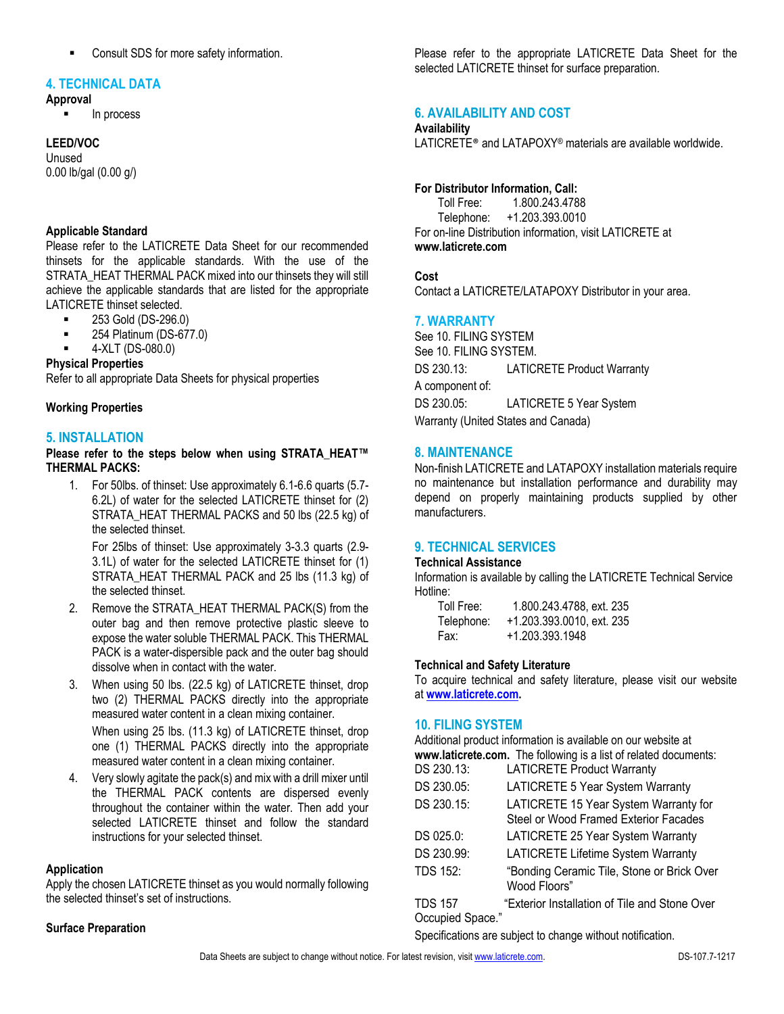■ Consult SDS for more safety information.

#### **4. TECHNICAL DATA**

#### **Approval**

In process

#### **LEED/VOC**

Unused 0.00 lb/gal (0.00 g/)

### **Applicable Standard**

Please refer to the LATICRETE Data Sheet for our recommended thinsets for the applicable standards. With the use of the STRATA\_HEAT THERMAL PACK mixed into our thinsets they will still achieve the applicable standards that are listed for the appropriate LATICRETE thinset selected.

- **253 Gold (DS-296.0)**
- **254 Platinum (DS-677.0)**
- 4-XLT (DS-080.0)

#### **Physical Properties**

Refer to all appropriate Data Sheets for physical properties

#### **Working Properties**

#### **5. INSTALLATION**

**Please refer to the steps below when using STRATA\_HEAT™ THERMAL PACKS:**

1. For 50lbs. of thinset: Use approximately 6.1-6.6 quarts (5.7- 6.2L) of water for the selected LATICRETE thinset for (2) STRATA\_HEAT THERMAL PACKS and 50 lbs (22.5 kg) of the selected thinset.

For 25lbs of thinset: Use approximately 3-3.3 quarts (2.9- 3.1L) of water for the selected LATICRETE thinset for (1) STRATA\_HEAT THERMAL PACK and 25 lbs (11.3 kg) of the selected thinset.

- 2. Remove the STRATA\_HEAT THERMAL PACK(S) from the outer bag and then remove protective plastic sleeve to expose the water soluble THERMAL PACK. This THERMAL PACK is a water-dispersible pack and the outer bag should dissolve when in contact with the water.
- 3. When using 50 lbs. (22.5 kg) of LATICRETE thinset, drop two (2) THERMAL PACKS directly into the appropriate measured water content in a clean mixing container. When using 25 lbs. (11.3 kg) of LATICRETE thinset, drop

one (1) THERMAL PACKS directly into the appropriate measured water content in a clean mixing container.

4. Very slowly agitate the pack(s) and mix with a drill mixer until the THERMAL PACK contents are dispersed evenly throughout the container within the water. Then add your selected LATICRETE thinset and follow the standard instructions for your selected thinset.

#### **Application**

Apply the chosen LATICRETE thinset as you would normally following the selected thinset's set of instructions.

#### **Surface Preparation**

Please refer to the appropriate LATICRETE Data Sheet for the selected LATICRETE thinset for surface preparation.

# **6. AVAILABILITY AND COST**

#### **Availability**

LATICRETE® and LATAPOXY® materials are available worldwide.

#### **For Distributor Information, Call:**

Toll Free: 1.800.243.4788 Telephone: +1.203.393.0010 For on-line Distribution information, visit LATICRETE at **www.laticrete.com**

#### **Cost**

Contact a LATICRETE/LATAPOXY Distributor in your area.

#### **7. WARRANTY**

See 10. FILING SYSTEM See 10. FILING SYSTEM. DS 230.13: LATICRETE Product Warranty A component of: DS 230.05: LATICRETE 5 Year System Warranty (United States and Canada)

#### **8. MAINTENANCE**

Non-finish LATICRETE and LATAPOXY installation materials require no maintenance but installation performance and durability may depend on properly maintaining products supplied by other manufacturers.

# **9. TECHNICAL SERVICES**

#### **Technical Assistance**

Information is available by calling the LATICRETE Technical Service Hotline:

| Toll Free: | 1.800.243.4788, ext. 235  |
|------------|---------------------------|
| Telephone: | +1.203.393.0010, ext. 235 |
| Fax:       | +1.203.393.1948           |

#### **Technical and Safety Literature**

To acquire technical and safety literature, please visit our website at **[www.laticrete.com.](http://www.laticrete.com/)**

#### **10. FILING SYSTEM**

Additional product information is available on our website at **www.laticrete.com.** The following is a list of related documents:

| DS 230.13:       | <b>LATICRETE Product Warranty</b>                                              |
|------------------|--------------------------------------------------------------------------------|
| DS 230.05:       | LATICRETE 5 Year System Warranty                                               |
| DS 230.15:       | LATICRETE 15 Year System Warranty for<br>Steel or Wood Framed Exterior Facades |
| DS 025.0:        | LATICRETE 25 Year System Warranty                                              |
| DS 230.99:       | <b>LATICRETE Lifetime System Warranty</b>                                      |
| <b>TDS 152:</b>  | "Bonding Ceramic Tile, Stone or Brick Over<br>Wood Floors"                     |
| <b>TDS 157</b>   | "Exterior Installation of Tile and Stone Over                                  |
| Occupied Space." |                                                                                |

Specifications are subject to change without notification.